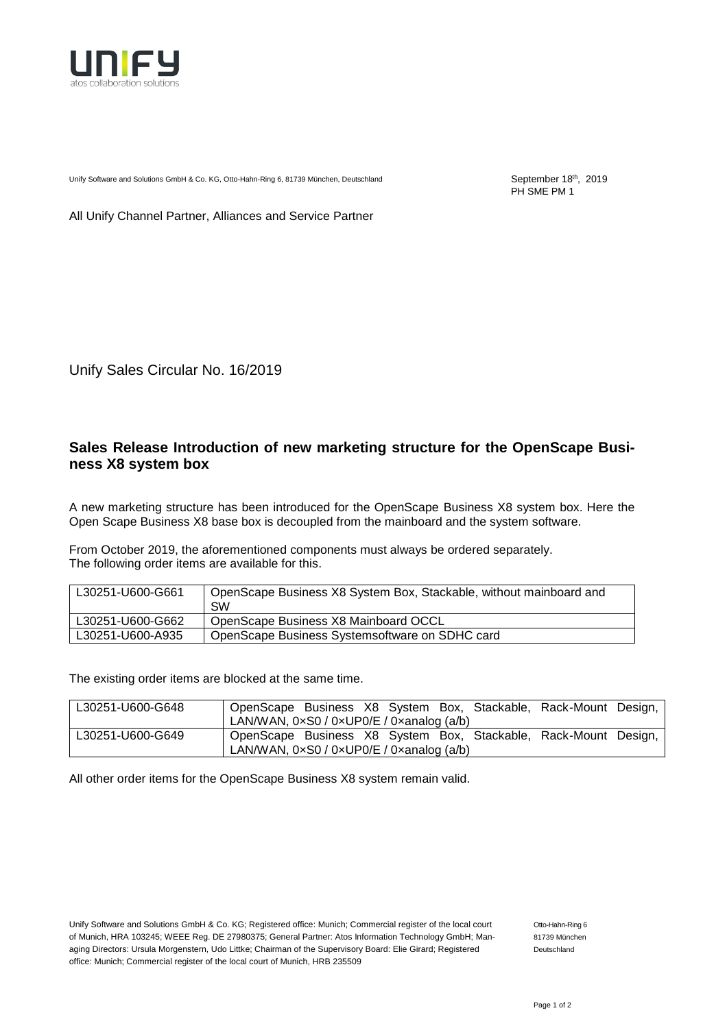

Unify Software and Solutions GmbH & Co. KG, Otto-Hahn-Ring 6, 81739 München, Deutschland

September 18<sup>th</sup>, 2019 PH SME PM 1

All Unify Channel Partner, Alliances and Service Partner

Unify Sales Circular No. 16/2019

## **Sales Release Introduction of new marketing structure for the OpenScape Business X8 system box**

A new marketing structure has been introduced for the OpenScape Business X8 system box. Here the Open Scape Business X8 base box is decoupled from the mainboard and the system software.

From October 2019, the aforementioned components must always be ordered separately. The following order items are available for this.

| L30251-U600-G661 | OpenScape Business X8 System Box, Stackable, without mainboard and<br><b>SW</b> |
|------------------|---------------------------------------------------------------------------------|
| L30251-U600-G662 | OpenScape Business X8 Mainboard OCCL                                            |
| L30251-U600-A935 | OpenScape Business Systems of tware on SDHC card                                |

The existing order items are blocked at the same time.

| L30251-U600-G648 |                                                            |  |  | OpenScape Business X8 System Box, Stackable, Rack-Mount Design, |  |
|------------------|------------------------------------------------------------|--|--|-----------------------------------------------------------------|--|
|                  | LAN/WAN, 0xS0 / 0xUP0/E / 0xanalog (a/b)                   |  |  |                                                                 |  |
| L30251-U600-G649 | LAN/WAN, $0 \times S0 / 0 \times UP0/E / 0 \times 0$ (a/b) |  |  | OpenScape Business X8 System Box, Stackable, Rack-Mount Design, |  |

All other order items for the OpenScape Business X8 system remain valid.

Unify Software and Solutions GmbH & Co. KG; Registered office: Munich; Commercial register of the local court of Munich, HRA 103245; WEEE Reg. DE 27980375; General Partner: Atos Information Technology GmbH; Managing Directors: Ursula Morgenstern, Udo Littke; Chairman of the Supervisory Board: Elie Girard; Registered office: Munich; Commercial register of the local court of Munich, HRB 235509

Otto-Hahn-Ring 6 81739 München Deutschland